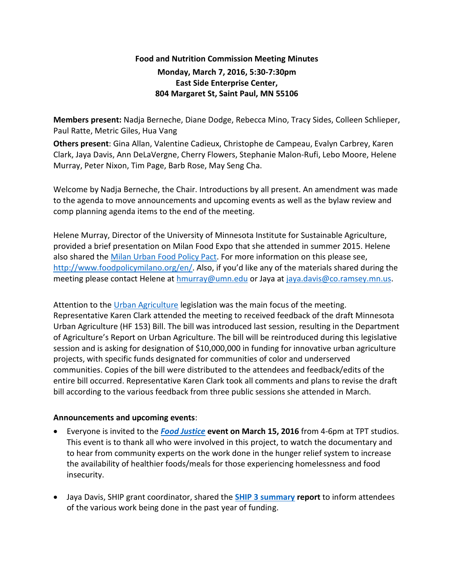## **Food and Nutrition Commission Meeting Minutes Monday, March 7, 2016, 5:30-7:30pm East Side Enterprise Center,**

## **804 Margaret St, Saint Paul, MN 55106**

**Members present:** Nadja Berneche, Diane Dodge, Rebecca Mino, Tracy Sides, Colleen Schlieper, Paul Ratte, Metric Giles, Hua Vang

**Others present**: Gina Allan, Valentine Cadieux, Christophe de Campeau, Evalyn Carbrey, Karen Clark, Jaya Davis, Ann DeLaVergne, Cherry Flowers, Stephanie Malon-Rufi, Lebo Moore, Helene Murray, Peter Nixon, Tim Page, Barb Rose, May Seng Cha.

Welcome by Nadja Berneche, the Chair. Introductions by all present. An amendment was made to the agenda to move announcements and upcoming events as well as the bylaw review and comp planning agenda items to the end of the meeting.

Helene Murray, Director of the University of Minnesota Institute for Sustainable Agriculture, provided a brief presentation on Milan Food Expo that she attended in summer 2015. Helene also shared the [Milan Urban Food Policy Pact.](http://www.foodpolicymilano.org/wp-content/uploads/2015/10/Milan-Urban-Food-Policy-Pact-EN.pdf) For more information on this please see, <http://www.foodpolicymilano.org/en/>. Also, if you'd like any of the materials shared during the meeting please contact Helene at [hmurray@umn.edu](mailto:hmurray@umn.edu) or Jaya at [jaya.davis@co.ramsey.mn.us.](mailto:jaya.davis@co.ramsey.mn.us)

Attention to the [Urban Agriculture](http://www.mda.state.mn.us/news/~/media/Files/news/govrelations/legrpt-urbanag2016.pdf) legislation was the main focus of the meeting. Representative Karen Clark attended the meeting to received feedback of the draft Minnesota Urban Agriculture (HF 153) Bill. The bill was introduced last session, resulting in the Department of Agriculture's Report on Urban Agriculture. The bill will be reintroduced during this legislative session and is asking for designation of \$10,000,000 in funding for innovative urban agriculture projects, with specific funds designated for communities of color and underserved communities. Copies of the bill were distributed to the attendees and feedback/edits of the entire bill occurred. Representative Karen Clark took all comments and plans to revise the draft bill according to the various feedback from three public sessions she attended in March.

## **Announcements and upcoming events**:

- Everyone is invited to the *[Food Justice](https://www.ramseycounty.us/residents/health-medical/public-health-initiatives/statewide-health-improvement-program-ship/food)* **event on March 15, 2016** from 4-6pm at TPT studios. This event is to thank all who were involved in this project, to watch the documentary and to hear from community experts on the work done in the hunger relief system to increase the availability of healthier foods/meals for those experiencing homelessness and food insecurity.
- Jaya Davis, SHIP grant coordinator, shared the **[SHIP 3 summary](https://www.ramseycounty.us/sites/default/files/Health%20and%20Medical/Public%20Health%20Initiatives/SHIP%202013-2015.pdf) report** to inform attendees of the various work being done in the past year of funding.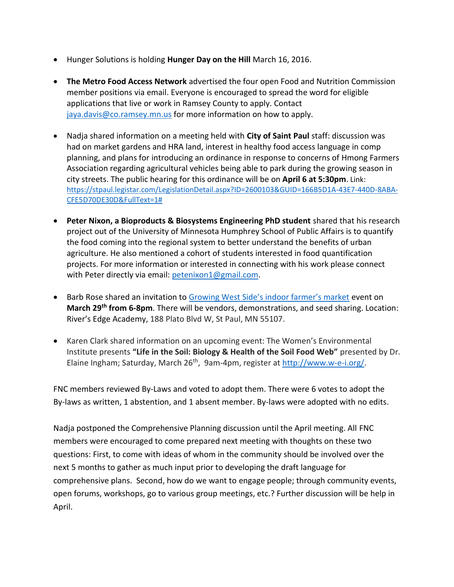- Hunger Solutions is holding **Hunger Day on the Hill** March 16, 2016.
- **The Metro Food Access Network** advertised the four open Food and Nutrition Commission member positions via email. Everyone is encouraged to spread the word for eligible applications that live or work in Ramsey County to apply. Contact [jaya.davis@co.ramsey.mn.us](mailto:jaya.davis@co.ramsey.mn.us) for more information on how to apply.
- Nadja shared information on a meeting held with **City of Saint Paul** staff: discussion was had on market gardens and HRA land, interest in healthy food access language in comp planning, and plans for introducing an ordinance in response to concerns of Hmong Farmers Association regarding agricultural vehicles being able to park during the growing season in city streets. The public hearing for this ordinance will be on **April 6 at 5:30pm**. Link: [https://stpaul.legistar.com/LegislationDetail.aspx?ID=2600103&GUID=166B5D1A-43E7-440D-8ABA-](https://stpaul.legistar.com/LegislationDetail.aspx?ID=2600103&GUID=166B5D1A-43E7-440D-8ABA-CFE5D70DE30D&FullText=1)[CFE5D70DE30D&FullText=1#](https://stpaul.legistar.com/LegislationDetail.aspx?ID=2600103&GUID=166B5D1A-43E7-440D-8ABA-CFE5D70DE30D&FullText=1)
- **Peter Nixon, a Bioproducts & Biosystems Engineering PhD student** shared that his research project out of the University of Minnesota Humphrey School of Public Affairs is to quantify the food coming into the regional system to better understand the benefits of urban agriculture. He also mentioned a cohort of students interested in food quantification projects. For more information or interested in connecting with his work please connect with Peter directly via email: [petenixon1@gmail.com.](mailto:petenixon1@gmail.com)
- Barb Rose shared an invitation to [Growing West Side's indoor farmer's market](http://growingwestside.com/wp-content/uploads/2013/04/Indoor-farmers-market-poster.jpg) event on **March 29th from 6-8pm**. There will be vendors, demonstrations, and seed sharing. Location: River's Edge Academy, 188 Plato Blvd W, St Paul, MN 55107.
- Karen Clark shared information on an upcoming event: The Women's Environmental Institute presents **"Life in the Soil: Biology & Health of the Soil Food Web"** presented by Dr. Elaine Ingham; Saturday, March 26<sup>th</sup>, 9am-4pm, register a[t http://www.w-e-i.org/.](http://www.w-e-i.org/)

FNC members reviewed By-Laws and voted to adopt them. There were 6 votes to adopt the By-laws as written, 1 abstention, and 1 absent member. By-laws were adopted with no edits.

Nadja postponed the Comprehensive Planning discussion until the April meeting. All FNC members were encouraged to come prepared next meeting with thoughts on these two questions: First, to come with ideas of whom in the community should be involved over the next 5 months to gather as much input prior to developing the draft language for comprehensive plans. Second, how do we want to engage people; through community events, open forums, workshops, go to various group meetings, etc.? Further discussion will be help in April.